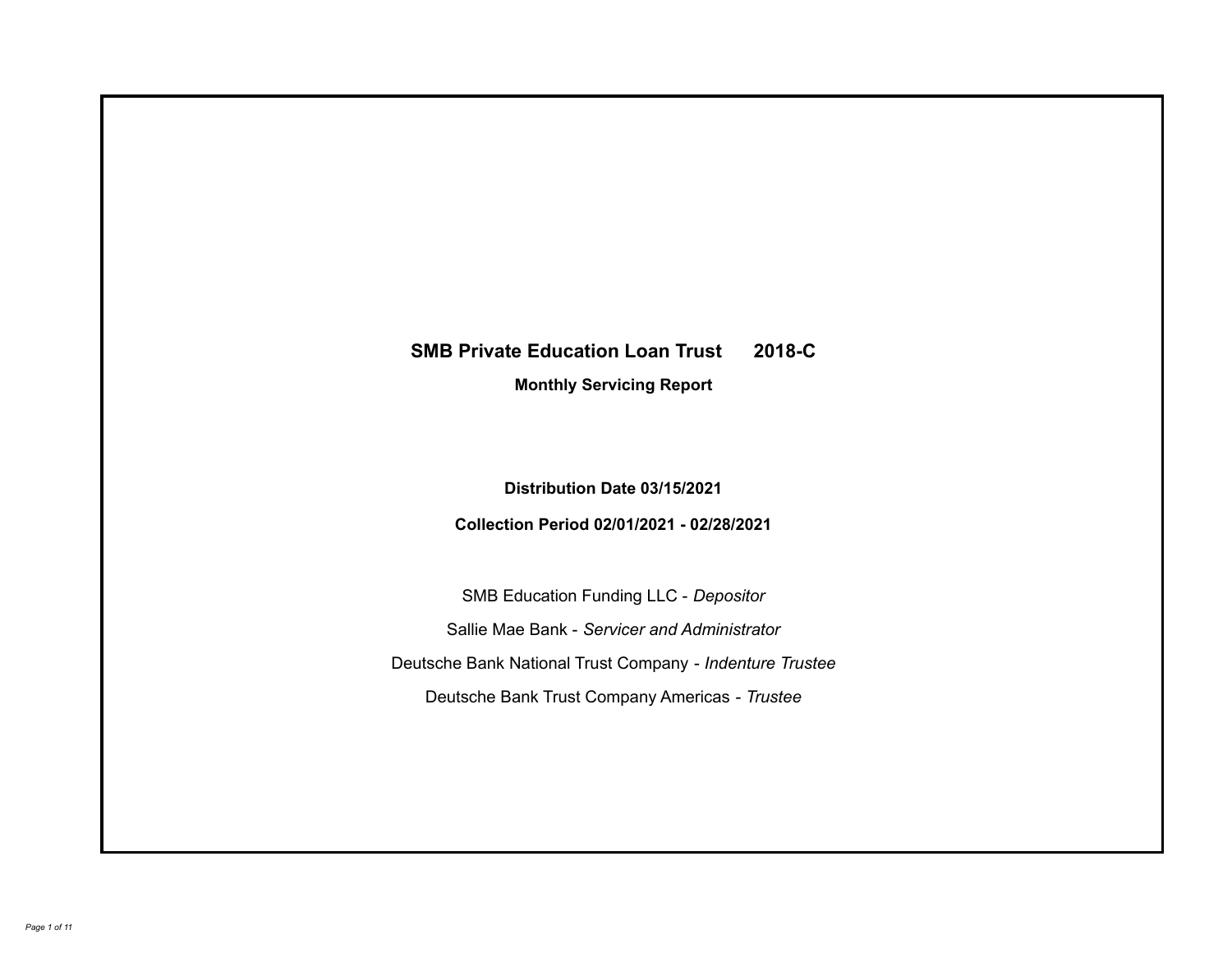# **SMB Private Education Loan Trust 2018-C**

**Monthly Servicing Report**

**Distribution Date 03/15/2021**

**Collection Period 02/01/2021 - 02/28/2021**

SMB Education Funding LLC - *Depositor* Sallie Mae Bank - *Servicer and Administrator* Deutsche Bank National Trust Company - *Indenture Trustee* Deutsche Bank Trust Company Americas - *Trustee*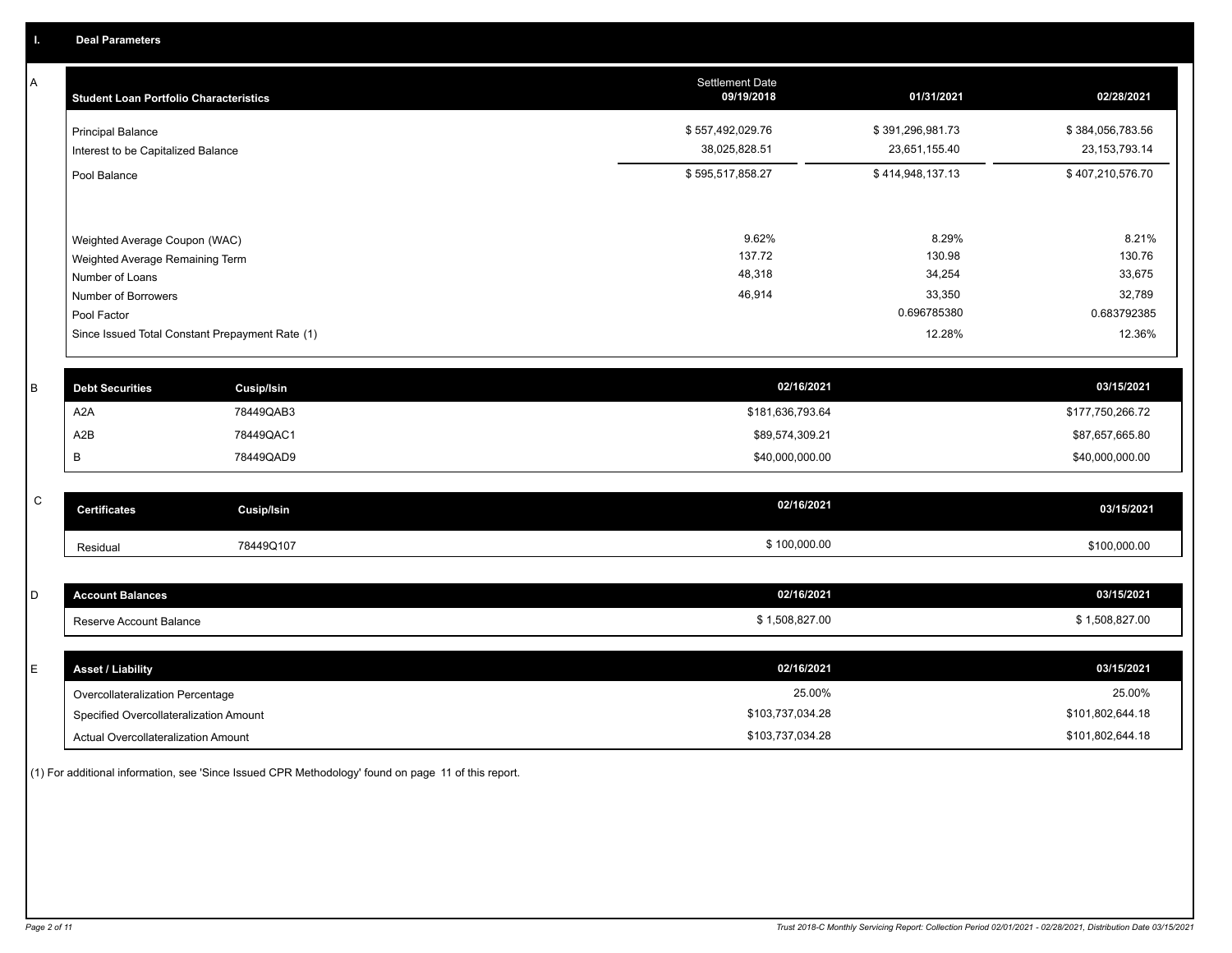A

| A         | <b>Student Loan Portfolio Characteristics</b>   |                   | <b>Settlement Date</b><br>09/19/2018 | 01/31/2021       | 02/28/2021       |
|-----------|-------------------------------------------------|-------------------|--------------------------------------|------------------|------------------|
|           | <b>Principal Balance</b>                        |                   | \$557,492,029.76                     | \$391,296,981.73 | \$384,056,783.56 |
|           | Interest to be Capitalized Balance              |                   | 38,025,828.51                        | 23,651,155.40    | 23, 153, 793. 14 |
|           | Pool Balance                                    |                   | \$595,517,858.27                     | \$414,948,137.13 | \$407,210,576.70 |
|           |                                                 |                   |                                      |                  |                  |
|           | Weighted Average Coupon (WAC)                   |                   | 9.62%<br>137.72                      | 8.29%<br>130.98  | 8.21%<br>130.76  |
|           | Weighted Average Remaining Term                 |                   | 48,318                               | 34,254           | 33,675           |
|           | Number of Loans                                 |                   | 46,914                               | 33,350           | 32,789           |
|           | Number of Borrowers<br>Pool Factor              |                   |                                      | 0.696785380      | 0.683792385      |
|           | Since Issued Total Constant Prepayment Rate (1) |                   |                                      | 12.28%           | 12.36%           |
|           |                                                 |                   |                                      |                  |                  |
|           |                                                 |                   |                                      |                  |                  |
| B         | <b>Debt Securities</b>                          | <b>Cusip/Isin</b> | 02/16/2021                           |                  | 03/15/2021       |
|           | A <sub>2</sub> A                                | 78449QAB3         | \$181,636,793.64                     |                  | \$177,750,266.72 |
|           | A2B                                             | 78449QAC1         | \$89,574,309.21                      |                  | \$87,657,665.80  |
|           | В                                               | 78449QAD9         | \$40,000,000.00                      |                  | \$40,000,000.00  |
|           |                                                 |                   |                                      |                  |                  |
| ${\bf C}$ | <b>Certificates</b>                             | <b>Cusip/Isin</b> | 02/16/2021                           |                  | 03/15/2021       |
|           | Residual                                        | 78449Q107         | \$100,000.00                         |                  | \$100,000.00     |
|           |                                                 |                   |                                      |                  |                  |
| D         | <b>Account Balances</b>                         |                   | 02/16/2021                           |                  | 03/15/2021       |
|           | Reserve Account Balance                         |                   | \$1,508,827.00                       |                  | \$1,508,827.00   |
|           |                                                 |                   |                                      |                  |                  |
| E         | <b>Asset / Liability</b>                        |                   | 02/16/2021                           |                  | 03/15/2021       |
|           | Overcollateralization Percentage                |                   | 25.00%                               |                  | 25.00%           |

Specified Overcollateralization Amount

Actual Overcollateralization Amount \$103,737,034.28

(1) For additional information, see 'Since Issued CPR Methodology' found on page 11 of this report.

\$101,802,644.18 \$101,802,644.18

\$103,737,034.28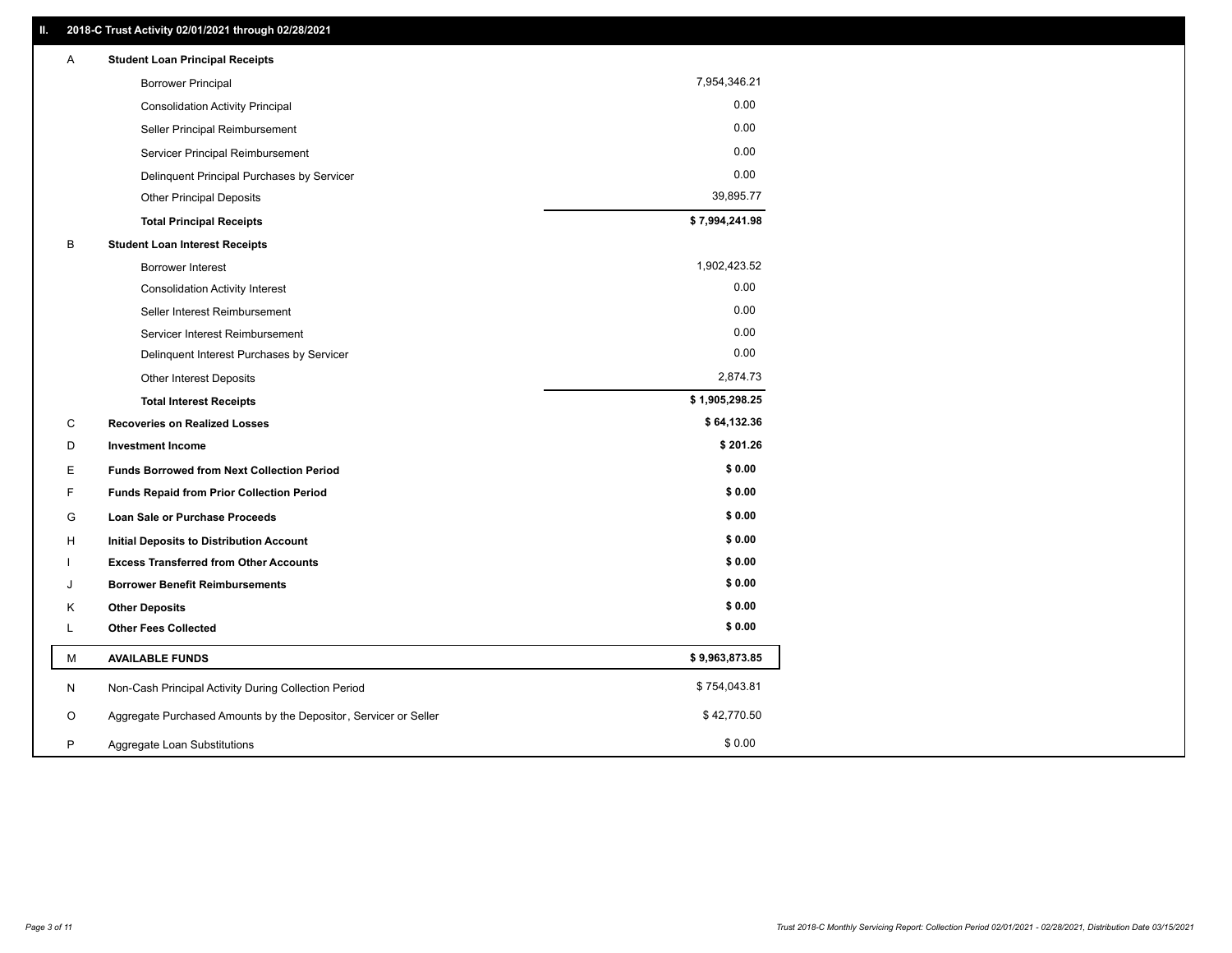| Α | <b>Student Loan Principal Receipts</b>                           |                |
|---|------------------------------------------------------------------|----------------|
|   | <b>Borrower Principal</b>                                        | 7,954,346.21   |
|   | <b>Consolidation Activity Principal</b>                          | 0.00           |
|   | Seller Principal Reimbursement                                   | 0.00           |
|   | Servicer Principal Reimbursement                                 | 0.00           |
|   | Delinquent Principal Purchases by Servicer                       | 0.00           |
|   | <b>Other Principal Deposits</b>                                  | 39,895.77      |
|   | <b>Total Principal Receipts</b>                                  | \$7,994,241.98 |
| В | <b>Student Loan Interest Receipts</b>                            |                |
|   | <b>Borrower Interest</b>                                         | 1,902,423.52   |
|   | <b>Consolidation Activity Interest</b>                           | 0.00           |
|   | Seller Interest Reimbursement                                    | 0.00           |
|   | Servicer Interest Reimbursement                                  | 0.00           |
|   | Delinquent Interest Purchases by Servicer                        | 0.00           |
|   | Other Interest Deposits                                          | 2,874.73       |
|   | <b>Total Interest Receipts</b>                                   | \$1,905,298.25 |
| C | <b>Recoveries on Realized Losses</b>                             | \$64,132.36    |
| D | <b>Investment Income</b>                                         | \$201.26       |
| Е | <b>Funds Borrowed from Next Collection Period</b>                | \$0.00         |
| F | <b>Funds Repaid from Prior Collection Period</b>                 | \$0.00         |
| G | <b>Loan Sale or Purchase Proceeds</b>                            | \$0.00         |
| н | Initial Deposits to Distribution Account                         | \$0.00         |
|   | <b>Excess Transferred from Other Accounts</b>                    | \$0.00         |
| J | <b>Borrower Benefit Reimbursements</b>                           | \$0.00         |
| Κ | <b>Other Deposits</b>                                            | \$0.00         |
| L | <b>Other Fees Collected</b>                                      | \$0.00         |
| M | <b>AVAILABLE FUNDS</b>                                           | \$9,963,873.85 |
| N | Non-Cash Principal Activity During Collection Period             | \$754,043.81   |
| O | Aggregate Purchased Amounts by the Depositor, Servicer or Seller | \$42,770.50    |
|   |                                                                  |                |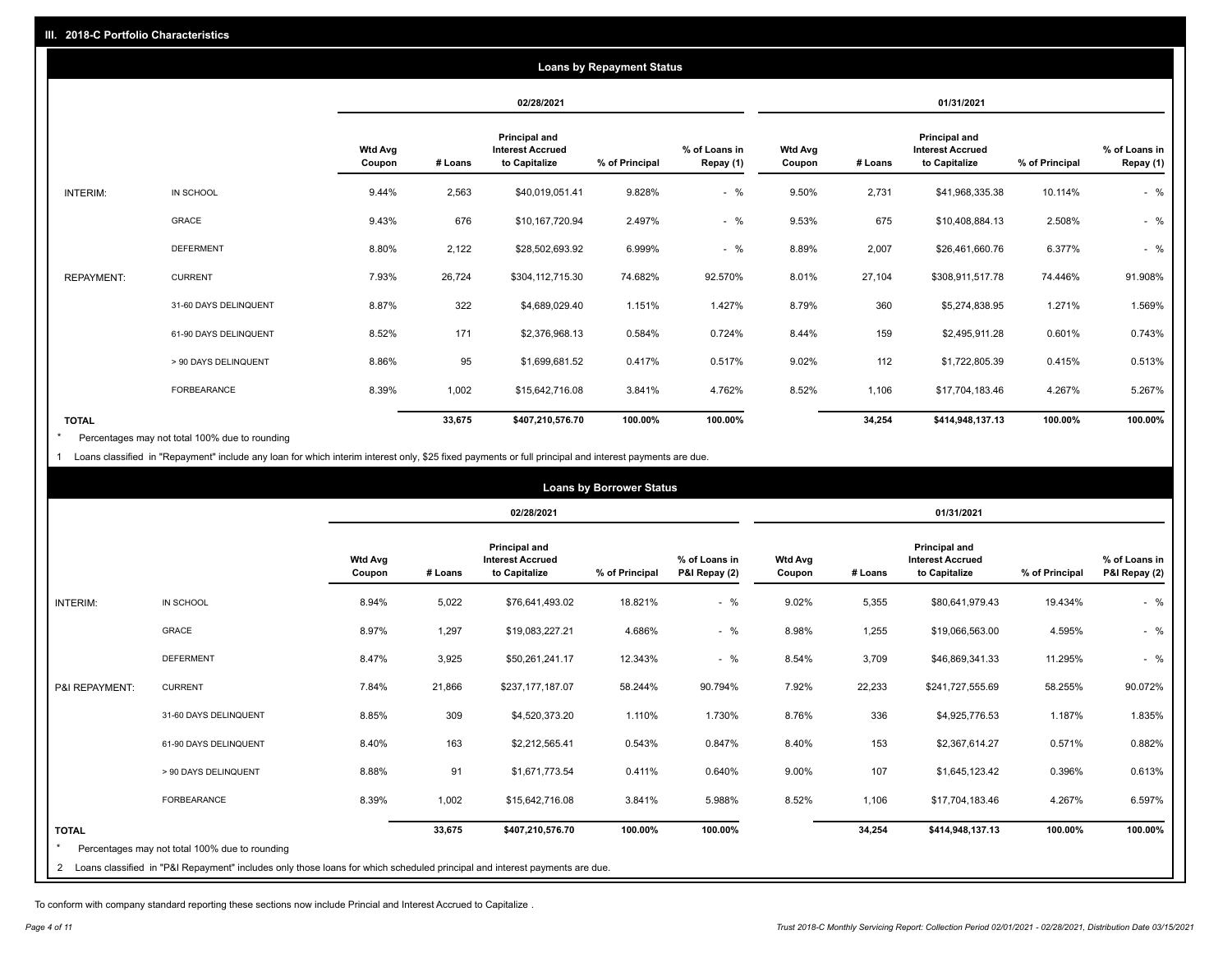|                   | <b>Loans by Repayment Status</b> |                          |            |                                                           |                |                            |                          |         |                                                           |                |                            |
|-------------------|----------------------------------|--------------------------|------------|-----------------------------------------------------------|----------------|----------------------------|--------------------------|---------|-----------------------------------------------------------|----------------|----------------------------|
|                   |                                  |                          | 02/28/2021 |                                                           | 01/31/2021     |                            |                          |         |                                                           |                |                            |
|                   |                                  | <b>Wtd Avg</b><br>Coupon | # Loans    | Principal and<br><b>Interest Accrued</b><br>to Capitalize | % of Principal | % of Loans in<br>Repay (1) | <b>Wtd Avg</b><br>Coupon | # Loans | Principal and<br><b>Interest Accrued</b><br>to Capitalize | % of Principal | % of Loans in<br>Repay (1) |
| INTERIM:          | IN SCHOOL                        | 9.44%                    | 2,563      | \$40,019,051.41                                           | 9.828%         | $-$ %                      | 9.50%                    | 2,731   | \$41,968,335.38                                           | 10.114%        | $-$ %                      |
|                   | GRACE                            | 9.43%                    | 676        | \$10,167,720.94                                           | 2.497%         | $-$ %                      | 9.53%                    | 675     | \$10,408,884.13                                           | 2.508%         | $-$ %                      |
|                   | <b>DEFERMENT</b>                 | 8.80%                    | 2,122      | \$28,502,693.92                                           | 6.999%         | $-$ %                      | 8.89%                    | 2,007   | \$26,461,660.76                                           | 6.377%         | $-$ %                      |
| <b>REPAYMENT:</b> | <b>CURRENT</b>                   | 7.93%                    | 26,724     | \$304,112,715.30                                          | 74.682%        | 92.570%                    | 8.01%                    | 27,104  | \$308,911,517.78                                          | 74.446%        | 91.908%                    |
|                   | 31-60 DAYS DELINQUENT            | 8.87%                    | 322        | \$4,689,029.40                                            | 1.151%         | 1.427%                     | 8.79%                    | 360     | \$5,274,838.95                                            | 1.271%         | 1.569%                     |
|                   | 61-90 DAYS DELINQUENT            | 8.52%                    | 171        | \$2,376,968.13                                            | 0.584%         | 0.724%                     | 8.44%                    | 159     | \$2,495,911.28                                            | 0.601%         | 0.743%                     |
|                   | > 90 DAYS DELINQUENT             | 8.86%                    | 95         | \$1,699,681.52                                            | 0.417%         | 0.517%                     | 9.02%                    | 112     | \$1,722,805.39                                            | 0.415%         | 0.513%                     |
|                   | FORBEARANCE                      | 8.39%                    | 1,002      | \$15,642,716.08                                           | 3.841%         | 4.762%                     | 8.52%                    | 1,106   | \$17,704,183.46                                           | 4.267%         | 5.267%                     |
| <b>TOTAL</b>      |                                  |                          | 33,675     | \$407,210,576.70                                          | 100.00%        | 100.00%                    |                          | 34,254  | \$414,948,137.13                                          | 100.00%        | 100.00%                    |

Percentages may not total 100% due to rounding \*

1 Loans classified in "Repayment" include any loan for which interim interest only, \$25 fixed payments or full principal and interest payments are due.

|                 |                                                                                                                              | <b>Loans by Borrower Status</b> |            |                                                           |                |                                |                          |         |                                                                  |                |                                |
|-----------------|------------------------------------------------------------------------------------------------------------------------------|---------------------------------|------------|-----------------------------------------------------------|----------------|--------------------------------|--------------------------|---------|------------------------------------------------------------------|----------------|--------------------------------|
|                 |                                                                                                                              |                                 | 02/28/2021 |                                                           |                | 01/31/2021                     |                          |         |                                                                  |                |                                |
|                 |                                                                                                                              | <b>Wtd Avg</b><br>Coupon        | # Loans    | Principal and<br><b>Interest Accrued</b><br>to Capitalize | % of Principal | % of Loans in<br>P&I Repay (2) | <b>Wtd Avg</b><br>Coupon | # Loans | <b>Principal and</b><br><b>Interest Accrued</b><br>to Capitalize | % of Principal | % of Loans in<br>P&I Repay (2) |
| <b>INTERIM:</b> | IN SCHOOL                                                                                                                    | 8.94%                           | 5,022      | \$76,641,493.02                                           | 18.821%        | $-$ %                          | 9.02%                    | 5,355   | \$80,641,979.43                                                  | 19.434%        | $-$ %                          |
|                 | <b>GRACE</b>                                                                                                                 | 8.97%                           | 1,297      | \$19,083,227.21                                           | 4.686%         | $-$ %                          | 8.98%                    | 1,255   | \$19,066,563.00                                                  | 4.595%         | $-$ %                          |
|                 | <b>DEFERMENT</b>                                                                                                             | 8.47%                           | 3,925      | \$50,261,241.17                                           | 12.343%        | $-$ %                          | 8.54%                    | 3,709   | \$46,869,341.33                                                  | 11.295%        | $-$ %                          |
| P&I REPAYMENT:  | <b>CURRENT</b>                                                                                                               | 7.84%                           | 21,866     | \$237,177,187.07                                          | 58.244%        | 90.794%                        | 7.92%                    | 22,233  | \$241,727,555.69                                                 | 58.255%        | 90.072%                        |
|                 | 31-60 DAYS DELINQUENT                                                                                                        | 8.85%                           | 309        | \$4,520,373.20                                            | 1.110%         | 1.730%                         | 8.76%                    | 336     | \$4,925,776.53                                                   | 1.187%         | 1.835%                         |
|                 | 61-90 DAYS DELINQUENT                                                                                                        | 8.40%                           | 163        | \$2,212,565.41                                            | 0.543%         | 0.847%                         | 8.40%                    | 153     | \$2,367,614.27                                                   | 0.571%         | 0.882%                         |
|                 | > 90 DAYS DELINQUENT                                                                                                         | 8.88%                           | 91         | \$1,671,773.54                                            | 0.411%         | 0.640%                         | 9.00%                    | 107     | \$1,645,123.42                                                   | 0.396%         | 0.613%                         |
|                 | <b>FORBEARANCE</b>                                                                                                           | 8.39%                           | 1,002      | \$15,642,716.08                                           | 3.841%         | 5.988%                         | 8.52%                    | 1,106   | \$17,704,183.46                                                  | 4.267%         | 6.597%                         |
| <b>TOTAL</b>    | Percentages may not total 100% due to rounding                                                                               |                                 | 33,675     | \$407,210,576.70                                          | 100.00%        | 100.00%                        |                          | 34,254  | \$414,948,137.13                                                 | 100.00%        | 100.00%                        |
|                 | 2 Loans classified in "P&I Repayment" includes only those loans for which scheduled principal and interest payments are due. |                                 |            |                                                           |                |                                |                          |         |                                                                  |                |                                |

To conform with company standard reporting these sections now include Princial and Interest Accrued to Capitalize .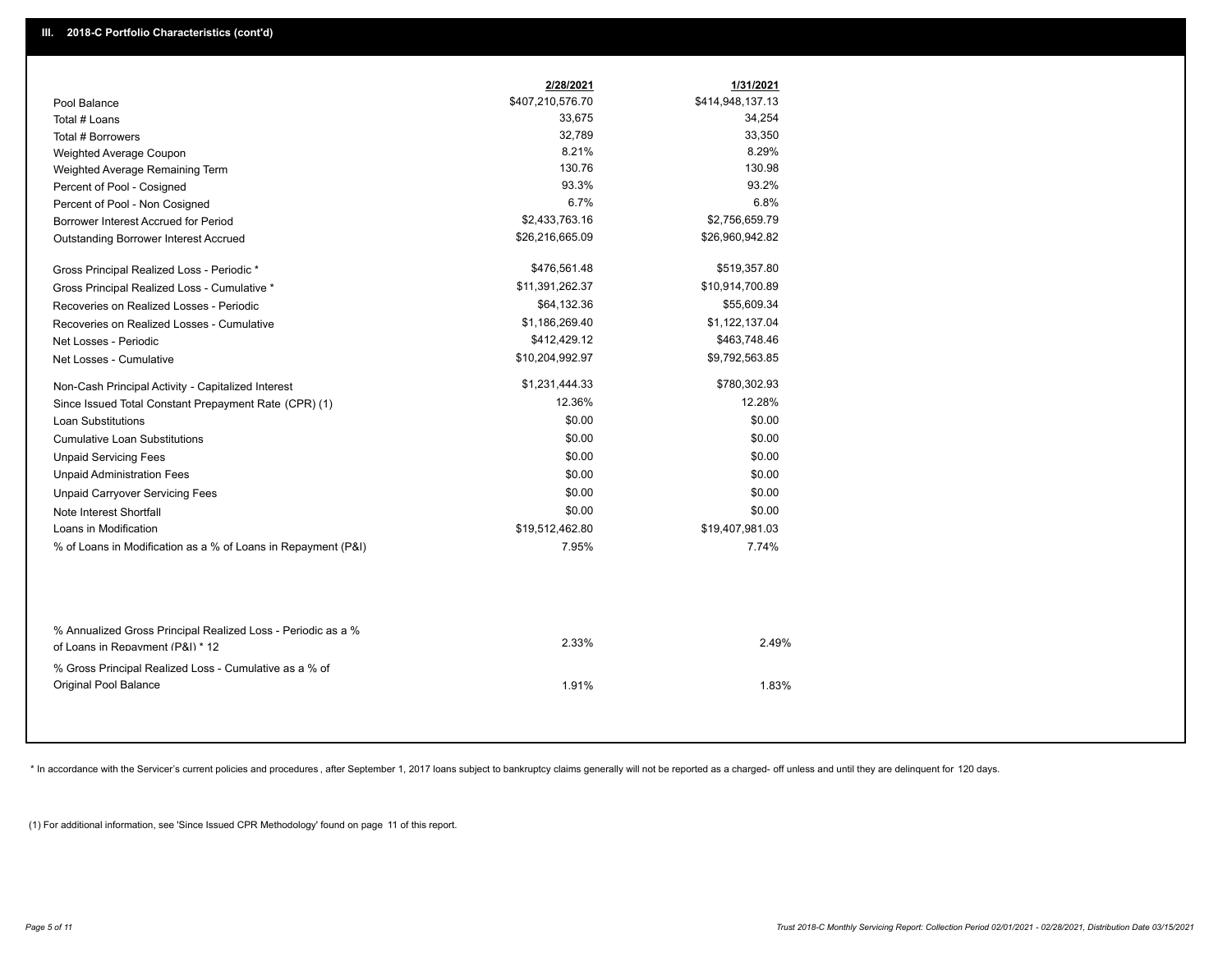|                                                                                                  | 2/28/2021        | 1/31/2021        |
|--------------------------------------------------------------------------------------------------|------------------|------------------|
| Pool Balance                                                                                     | \$407,210,576.70 | \$414,948,137.13 |
| Total # Loans                                                                                    | 33,675           | 34,254           |
| Total # Borrowers                                                                                | 32,789           | 33,350           |
| Weighted Average Coupon                                                                          | 8.21%            | 8.29%            |
| Weighted Average Remaining Term                                                                  | 130.76           | 130.98           |
| Percent of Pool - Cosigned                                                                       | 93.3%            | 93.2%            |
| Percent of Pool - Non Cosigned                                                                   | 6.7%             | 6.8%             |
| Borrower Interest Accrued for Period                                                             | \$2,433,763.16   | \$2,756,659.79   |
| Outstanding Borrower Interest Accrued                                                            | \$26,216,665.09  | \$26,960,942.82  |
| Gross Principal Realized Loss - Periodic *                                                       | \$476,561.48     | \$519,357.80     |
| Gross Principal Realized Loss - Cumulative *                                                     | \$11,391,262.37  | \$10,914,700.89  |
| Recoveries on Realized Losses - Periodic                                                         | \$64,132.36      | \$55,609.34      |
| Recoveries on Realized Losses - Cumulative                                                       | \$1,186,269.40   | \$1,122,137.04   |
| Net Losses - Periodic                                                                            | \$412,429.12     | \$463,748.46     |
| Net Losses - Cumulative                                                                          | \$10,204,992.97  | \$9,792,563.85   |
| Non-Cash Principal Activity - Capitalized Interest                                               | \$1,231,444.33   | \$780,302.93     |
| Since Issued Total Constant Prepayment Rate (CPR) (1)                                            | 12.36%           | 12.28%           |
| <b>Loan Substitutions</b>                                                                        | \$0.00           | \$0.00           |
| <b>Cumulative Loan Substitutions</b>                                                             | \$0.00           | \$0.00           |
| <b>Unpaid Servicing Fees</b>                                                                     | \$0.00           | \$0.00           |
| <b>Unpaid Administration Fees</b>                                                                | \$0.00           | \$0.00           |
| <b>Unpaid Carryover Servicing Fees</b>                                                           | \$0.00           | \$0.00           |
| Note Interest Shortfall                                                                          | \$0.00           | \$0.00           |
| Loans in Modification                                                                            | \$19,512,462.80  | \$19,407,981.03  |
| % of Loans in Modification as a % of Loans in Repayment (P&I)                                    | 7.95%            | 7.74%            |
|                                                                                                  |                  |                  |
| % Annualized Gross Principal Realized Loss - Periodic as a %<br>of Loans in Repayment (P&I) * 12 | 2.33%            | 2.49%            |
| % Gross Principal Realized Loss - Cumulative as a % of<br>Original Pool Balance                  | 1.91%            | 1.83%            |

\* In accordance with the Servicer's current policies and procedures, after September 1, 2017 loans subject to bankruptcy claims generally will not be reported as a charged- off unless and until they are delinquent for 120

(1) For additional information, see 'Since Issued CPR Methodology' found on page 11 of this report.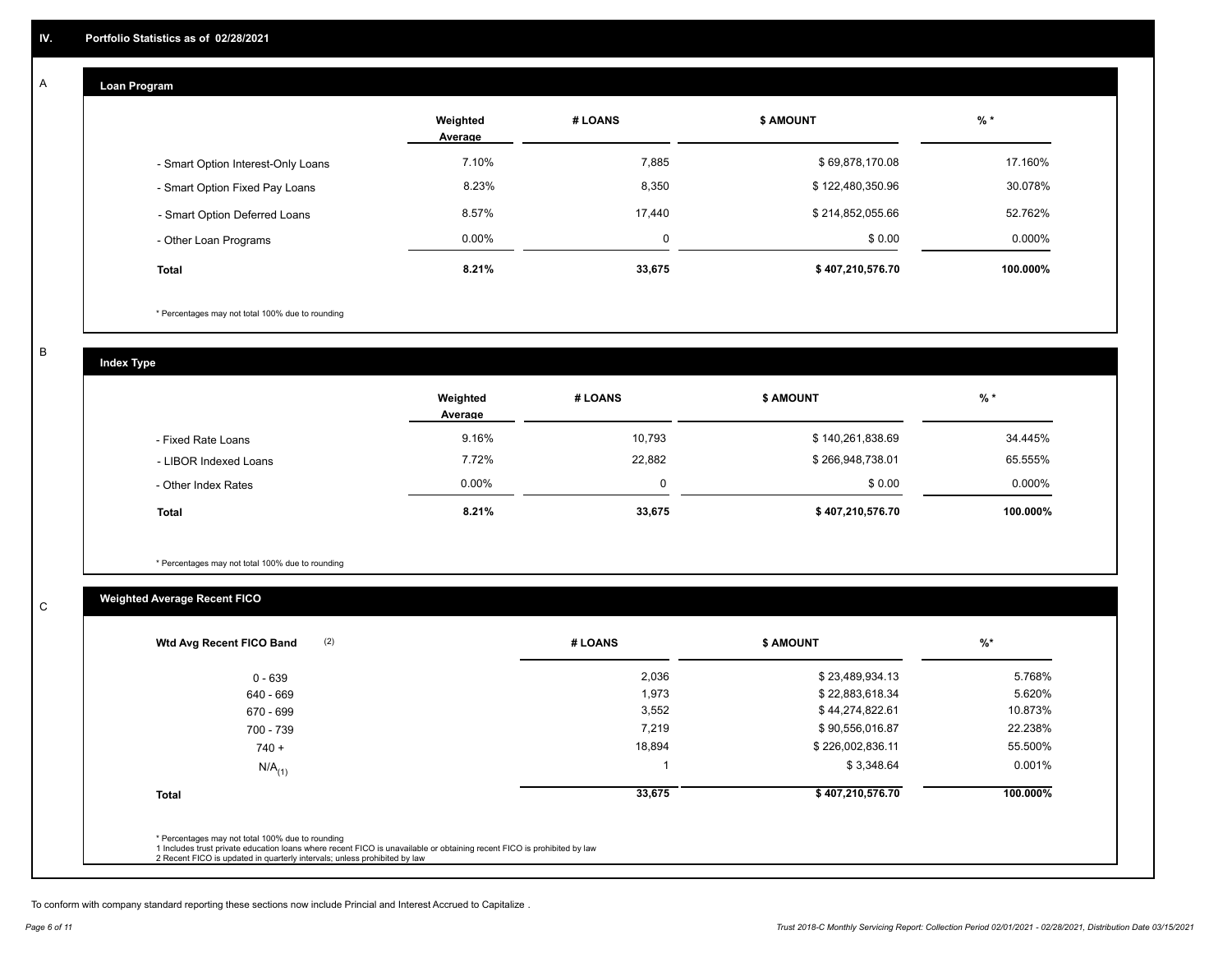#### **Loan Program**  A

|                                    | Weighted<br>Average | # LOANS     | <b>\$ AMOUNT</b> | $%$ *    |
|------------------------------------|---------------------|-------------|------------------|----------|
| - Smart Option Interest-Only Loans | 7.10%               | 7,885       | \$69,878,170.08  | 17.160%  |
| - Smart Option Fixed Pay Loans     | 8.23%               | 8,350       | \$122,480,350.96 | 30.078%  |
| - Smart Option Deferred Loans      | 8.57%               | 17.440      | \$214,852,055.66 | 52.762%  |
| - Other Loan Programs              | $0.00\%$            | $\mathbf 0$ | \$0.00           | 0.000%   |
| <b>Total</b>                       | 8.21%               | 33,675      | \$407,210,576.70 | 100.000% |

\* Percentages may not total 100% due to rounding

B

C

**Index Type**

|                       | Weighted<br>Average | # LOANS | <b>\$ AMOUNT</b> | $%$ *     |
|-----------------------|---------------------|---------|------------------|-----------|
| - Fixed Rate Loans    | 9.16%               | 10,793  | \$140,261,838.69 | 34.445%   |
| - LIBOR Indexed Loans | 7.72%               | 22,882  | \$266,948,738.01 | 65.555%   |
| - Other Index Rates   | $0.00\%$            |         | \$0.00           | $0.000\%$ |
| <b>Total</b>          | 8.21%               | 33,675  | \$407,210,576.70 | 100.000%  |

\* Percentages may not total 100% due to rounding

# **Weighted Average Recent FICO**

| (2)<br>Wtd Avg Recent FICO Band | # LOANS | <b>S AMOUNT</b>  | $\frac{9}{6}$ * |
|---------------------------------|---------|------------------|-----------------|
| 0 - 639                         | 2,036   | \$23,489,934.13  | 5.768%          |
| 640 - 669                       | 1,973   | \$22,883,618.34  | 5.620%          |
| 670 - 699                       | 3,552   | \$44,274,822.61  | 10.873%         |
| 700 - 739                       | 7,219   | \$90,556,016.87  | 22.238%         |
| $740 +$                         | 18,894  | \$226,002,836.11 | 55.500%         |
| $N/A$ <sub>(1)</sub>            |         | \$3,348.64       | 0.001%          |
| <b>Total</b>                    | 33,675  | \$407,210,576.70 | 100.000%        |
|                                 |         |                  |                 |

To conform with company standard reporting these sections now include Princial and Interest Accrued to Capitalize .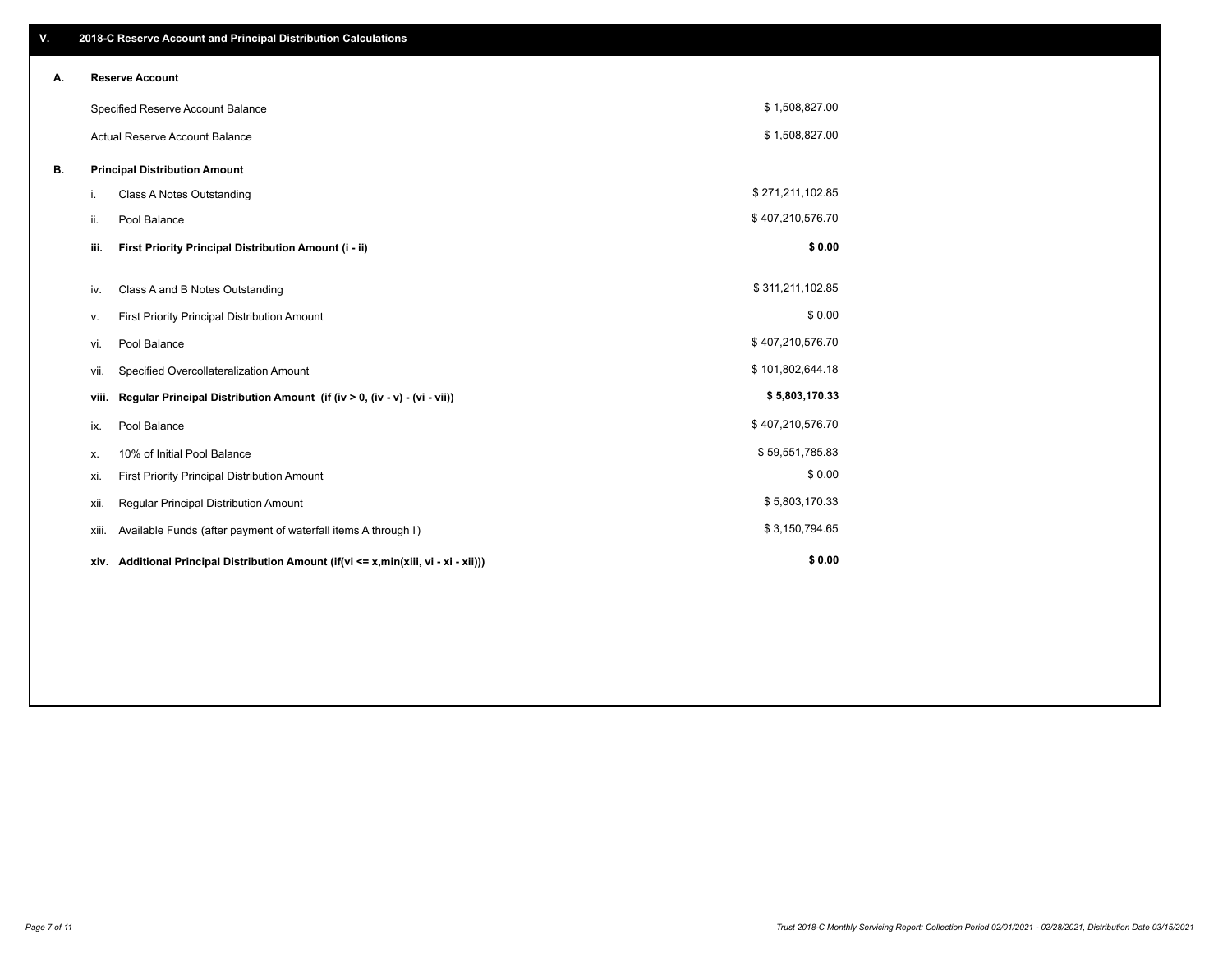| V. |       | 2018-C Reserve Account and Principal Distribution Calculations                       |                  |  |
|----|-------|--------------------------------------------------------------------------------------|------------------|--|
| А. |       | <b>Reserve Account</b>                                                               |                  |  |
|    |       | Specified Reserve Account Balance                                                    | \$1,508,827.00   |  |
|    |       | <b>Actual Reserve Account Balance</b>                                                | \$1,508,827.00   |  |
| В. |       | <b>Principal Distribution Amount</b>                                                 |                  |  |
|    | i.    | <b>Class A Notes Outstanding</b>                                                     | \$271,211,102.85 |  |
|    | ii.   | Pool Balance                                                                         | \$407,210,576.70 |  |
|    | iii.  | First Priority Principal Distribution Amount (i - ii)                                | \$0.00           |  |
|    |       | Class A and B Notes Outstanding                                                      | \$311,211,102.85 |  |
|    | iv.   |                                                                                      |                  |  |
|    | ν.    | First Priority Principal Distribution Amount                                         | \$0.00           |  |
|    | vi.   | Pool Balance                                                                         | \$407,210,576.70 |  |
|    | vii.  | Specified Overcollateralization Amount                                               | \$101,802,644.18 |  |
|    | viii. | Regular Principal Distribution Amount (if (iv > 0, (iv - v) - (vi - vii))            | \$5,803,170.33   |  |
|    | ix.   | Pool Balance                                                                         | \$407,210,576.70 |  |
|    | х.    | 10% of Initial Pool Balance                                                          | \$59,551,785.83  |  |
|    | xi.   | First Priority Principal Distribution Amount                                         | \$0.00           |  |
|    | xii.  | Regular Principal Distribution Amount                                                | \$5,803,170.33   |  |
|    | xiii. | Available Funds (after payment of waterfall items A through I)                       | \$3,150,794.65   |  |
|    |       | xiv. Additional Principal Distribution Amount (if(vi <= x,min(xiii, vi - xi - xii))) | \$0.00           |  |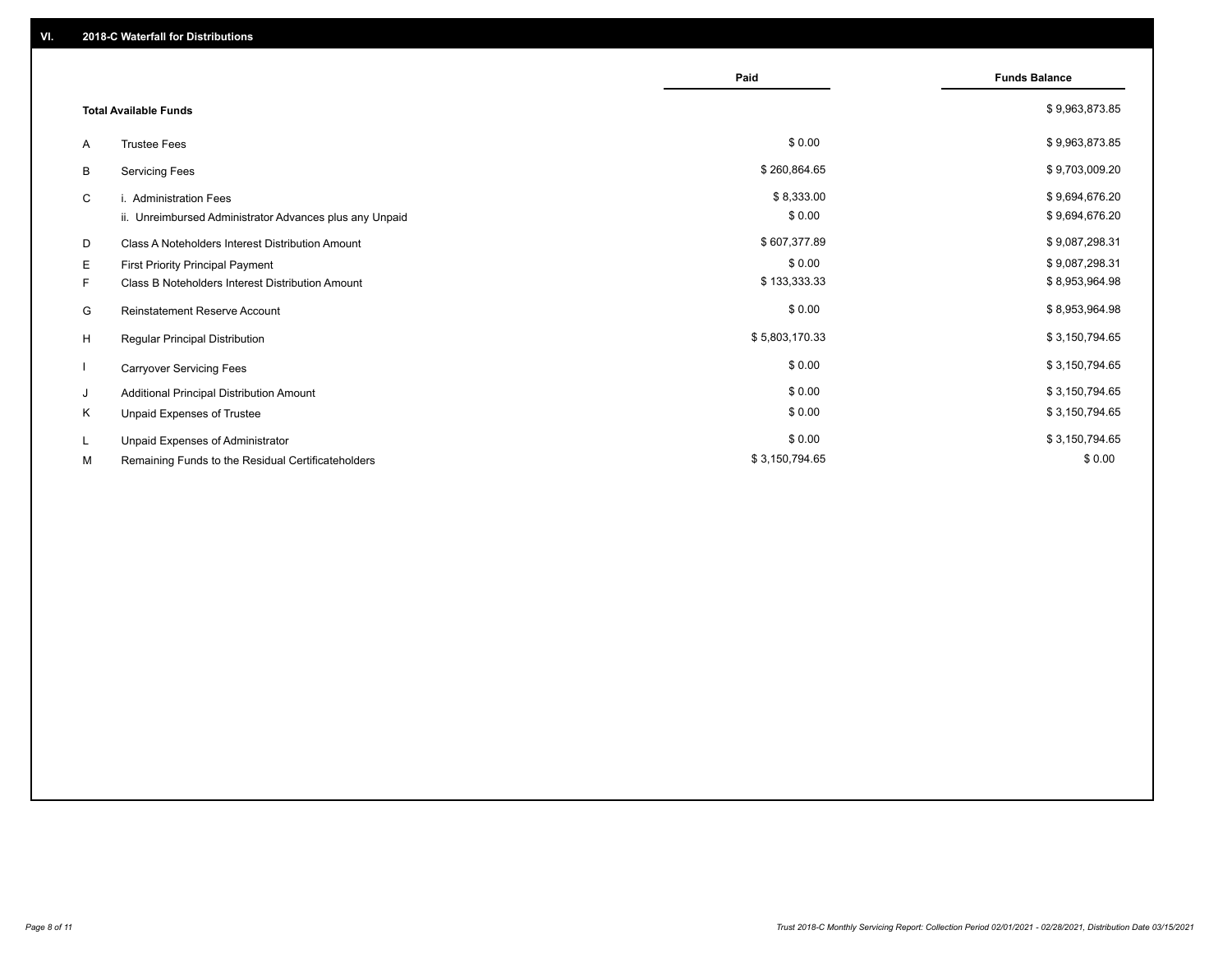|    |                                                         | Paid           | <b>Funds Balance</b> |
|----|---------------------------------------------------------|----------------|----------------------|
|    | <b>Total Available Funds</b>                            |                | \$9,963,873.85       |
| A  | <b>Trustee Fees</b>                                     | \$0.00         | \$9,963,873.85       |
| В  | <b>Servicing Fees</b>                                   | \$260,864.65   | \$9,703,009.20       |
| C  | i. Administration Fees                                  | \$8,333.00     | \$9,694,676.20       |
|    | ii. Unreimbursed Administrator Advances plus any Unpaid | \$0.00         | \$9,694,676.20       |
| D  | Class A Noteholders Interest Distribution Amount        | \$607,377.89   | \$9,087,298.31       |
| E. | First Priority Principal Payment                        | \$0.00         | \$9,087,298.31       |
| F. | Class B Noteholders Interest Distribution Amount        | \$133,333.33   | \$8,953,964.98       |
| G  | <b>Reinstatement Reserve Account</b>                    | \$0.00         | \$8,953,964.98       |
| H  | Regular Principal Distribution                          | \$5,803,170.33 | \$3,150,794.65       |
|    | <b>Carryover Servicing Fees</b>                         | \$0.00         | \$3,150,794.65       |
| J  | Additional Principal Distribution Amount                | \$0.00         | \$3,150,794.65       |
| Κ  | Unpaid Expenses of Trustee                              | \$0.00         | \$3,150,794.65       |
| L  | Unpaid Expenses of Administrator                        | \$0.00         | \$3,150,794.65       |
| М  | Remaining Funds to the Residual Certificateholders      | \$3,150,794.65 | \$0.00               |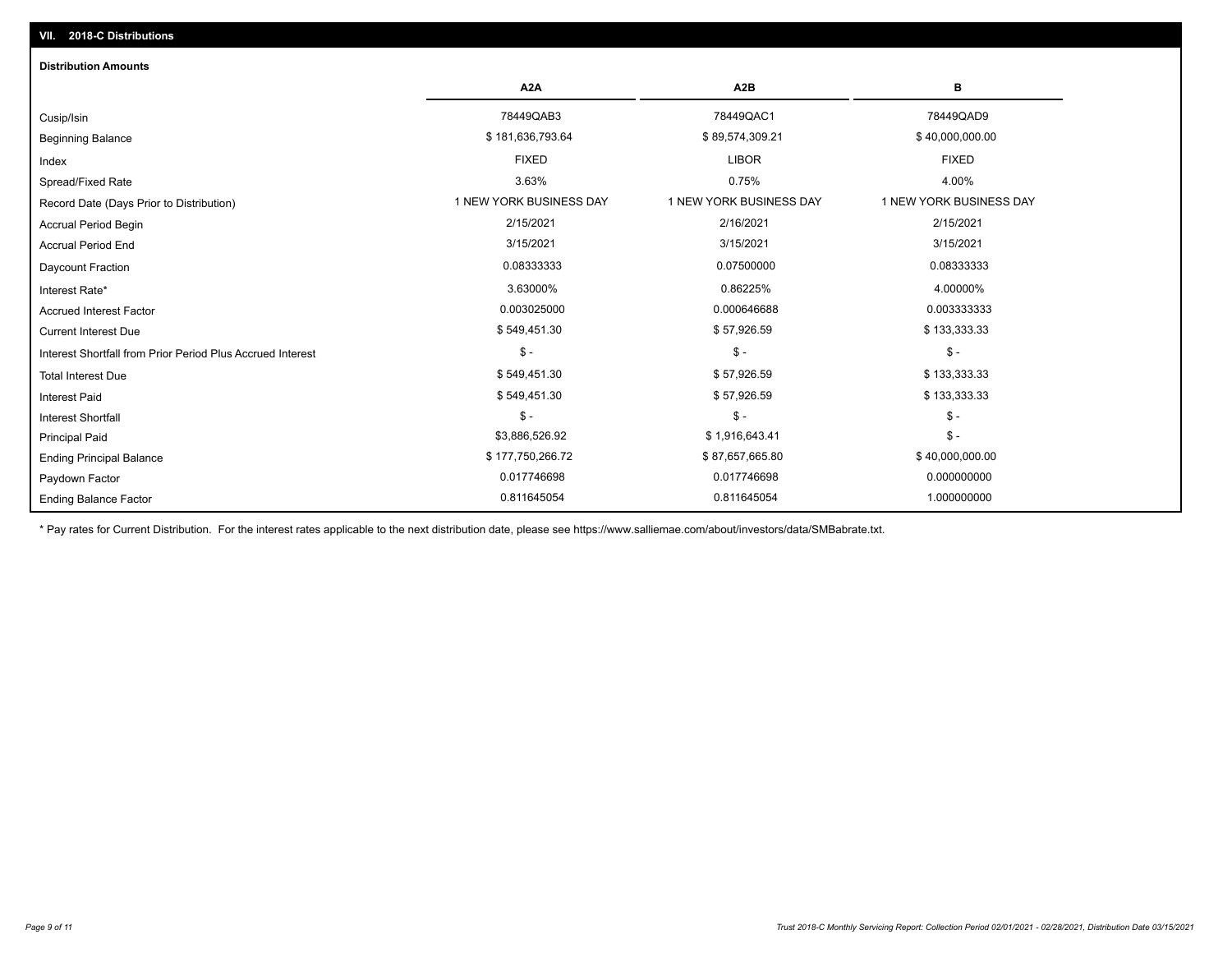# Ending Balance Factor Paydown Factor 0.017746698 0.017746698 0.000000000 Ending Principal Balance \$ 177,750,266.72 \$ \$87,657,665.80 \$ \$87,657,665.80 \$40,000,000.00 Principal Paid \$3,886,526.92 \$ 1,916,643.41 \$ - \$ - \$ - \$ - Interest Shortfall \$ 549,451.30 \$ 57,926.59 \$ 133,333.33 Interest Paid Total Interest Due \$ 5133,333.33 \$ \$133,333.33 \$ \$49,451.30 \$ \$57,926.59 \$ \$57,926.59 \$ \$133,333.33 \$ - \$ - \$ - Interest Shortfall from Prior Period Plus Accrued Interest Current Interest Due \$ 549,451.30 \$ 57,926.59 \$ 133,333.33 Accrued Interest Factor 0.003025000 0.000646688 0.003333333 Interest Rate\* 3.63000% 0.86225% 4.00000% Daycount Fraction 0.08333333 0.07500000 0.08333333 Accrual Period End 3/15/2021 3/15/2021 3/15/2021 Accrual Period Begin 2/15/2021 2/16/2021 2/15/2021 Record Date (Days Prior to Distribution) **1 NEW YORK BUSINESS DAY** 1 NEW YORK BUSINESS DAY 1 NEW YORK BUSINESS DAY Spread/Fixed Rate 3.63% 0.75% 4.00% Index FIXED LIBOR FIXED Beginning Balance \$ 181,636,793.64 \$ \$ 89,574,309.21 \$ \$ \$ \$ \$ \$ \$ \$ \$ 40,000,000.00 \$ \$ 40,000,000.00 \$ \$ 40,000,000 Cusip/Isin 78449QAB3 78449QAC1 78449QAD9 **A2A A2B B** 0.811645054 0.811645054 1.000000000 **Distribution Amounts**

\* Pay rates for Current Distribution. For the interest rates applicable to the next distribution date, please see https://www.salliemae.com/about/investors/data/SMBabrate.txt.

**VII. 2018-C Distributions**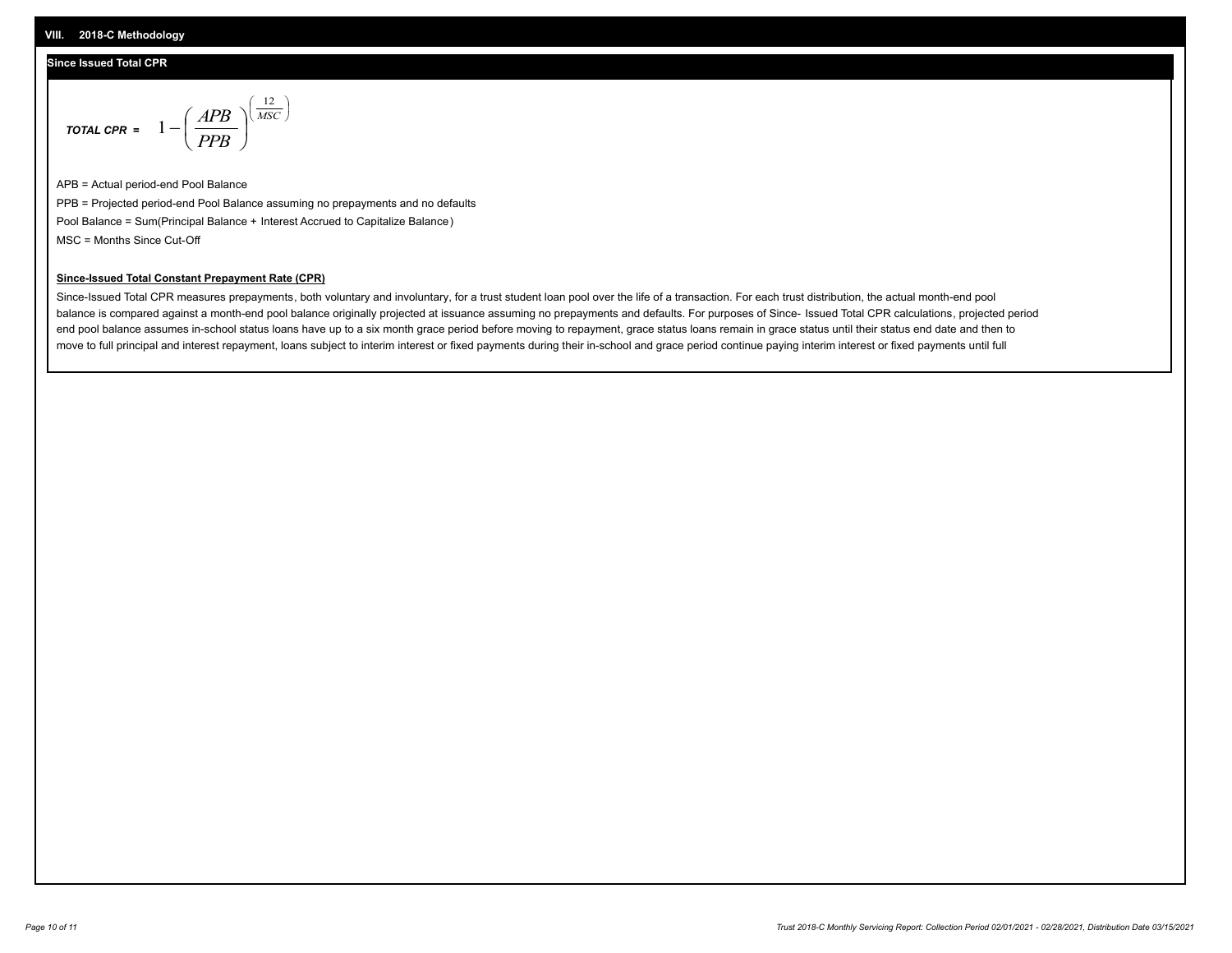## **Since Issued Total CPR**

$$
\text{total CPR} = 1 - \left(\frac{APB}{PPB}\right)^{\left(\frac{12}{MSC}\right)}
$$

APB = Actual period-end Pool Balance PPB = Projected period-end Pool Balance assuming no prepayments and no defaults Pool Balance = Sum(Principal Balance + Interest Accrued to Capitalize Balance) MSC = Months Since Cut-Off

 $\mathsf{I}$ J λ

### **Since-Issued Total Constant Prepayment Rate (CPR)**

Since-Issued Total CPR measures prepayments, both voluntary and involuntary, for a trust student loan pool over the life of a transaction. For each trust distribution, the actual month-end pool balance is compared against a month-end pool balance originally projected at issuance assuming no prepayments and defaults. For purposes of Since- Issued Total CPR calculations, projected period end pool balance assumes in-school status loans have up to a six month grace period before moving to repayment, grace status loans remain in grace status until their status end date and then to move to full principal and interest repayment, loans subject to interim interest or fixed payments during their in-school and grace period continue paying interim interest or fixed payments until full